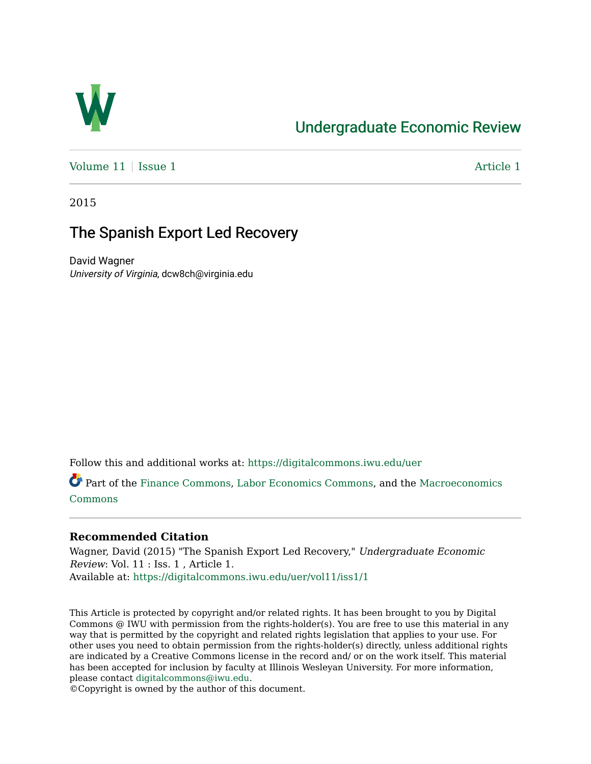

# [Undergraduate Economic Review](https://digitalcommons.iwu.edu/uer)

Volume  $11$  | [Issue 1](https://digitalcommons.iwu.edu/uer/vol11/iss1)  $\blacksquare$ 

2015

# The Spanish Export Led Recovery

David Wagner University of Virginia, dcw8ch@virginia.edu

Follow this and additional works at: [https://digitalcommons.iwu.edu/uer](https://digitalcommons.iwu.edu/uer?utm_source=digitalcommons.iwu.edu%2Fuer%2Fvol11%2Fiss1%2F1&utm_medium=PDF&utm_campaign=PDFCoverPages)

Part of the [Finance Commons](http://network.bepress.com/hgg/discipline/345?utm_source=digitalcommons.iwu.edu%2Fuer%2Fvol11%2Fiss1%2F1&utm_medium=PDF&utm_campaign=PDFCoverPages), [Labor Economics Commons,](http://network.bepress.com/hgg/discipline/349?utm_source=digitalcommons.iwu.edu%2Fuer%2Fvol11%2Fiss1%2F1&utm_medium=PDF&utm_campaign=PDFCoverPages) and the [Macroeconomics](http://network.bepress.com/hgg/discipline/350?utm_source=digitalcommons.iwu.edu%2Fuer%2Fvol11%2Fiss1%2F1&utm_medium=PDF&utm_campaign=PDFCoverPages)  [Commons](http://network.bepress.com/hgg/discipline/350?utm_source=digitalcommons.iwu.edu%2Fuer%2Fvol11%2Fiss1%2F1&utm_medium=PDF&utm_campaign=PDFCoverPages)

### **Recommended Citation**

Wagner, David (2015) "The Spanish Export Led Recovery," Undergraduate Economic Review: Vol. 11 : Iss. 1 , Article 1. Available at: [https://digitalcommons.iwu.edu/uer/vol11/iss1/1](https://digitalcommons.iwu.edu/uer/vol11/iss1/1?utm_source=digitalcommons.iwu.edu%2Fuer%2Fvol11%2Fiss1%2F1&utm_medium=PDF&utm_campaign=PDFCoverPages)

This Article is protected by copyright and/or related rights. It has been brought to you by Digital Commons @ IWU with permission from the rights-holder(s). You are free to use this material in any way that is permitted by the copyright and related rights legislation that applies to your use. For other uses you need to obtain permission from the rights-holder(s) directly, unless additional rights are indicated by a Creative Commons license in the record and/ or on the work itself. This material has been accepted for inclusion by faculty at Illinois Wesleyan University. For more information, please contact [digitalcommons@iwu.edu.](mailto:digitalcommons@iwu.edu)

©Copyright is owned by the author of this document.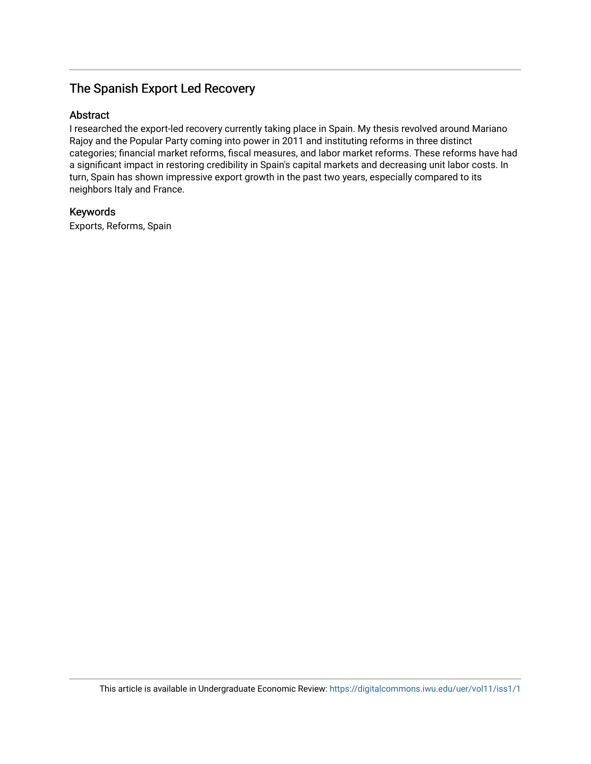# The Spanish Export Led Recovery

### Abstract

I researched the export-led recovery currently taking place in Spain. My thesis revolved around Mariano Rajoy and the Popular Party coming into power in 2011 and instituting reforms in three distinct categories; financial market reforms, fiscal measures, and labor market reforms. These reforms have had a significant impact in restoring credibility in Spain's capital markets and decreasing unit labor costs. In turn, Spain has shown impressive export growth in the past two years, especially compared to its neighbors Italy and France.

### Keywords

Exports, Reforms, Spain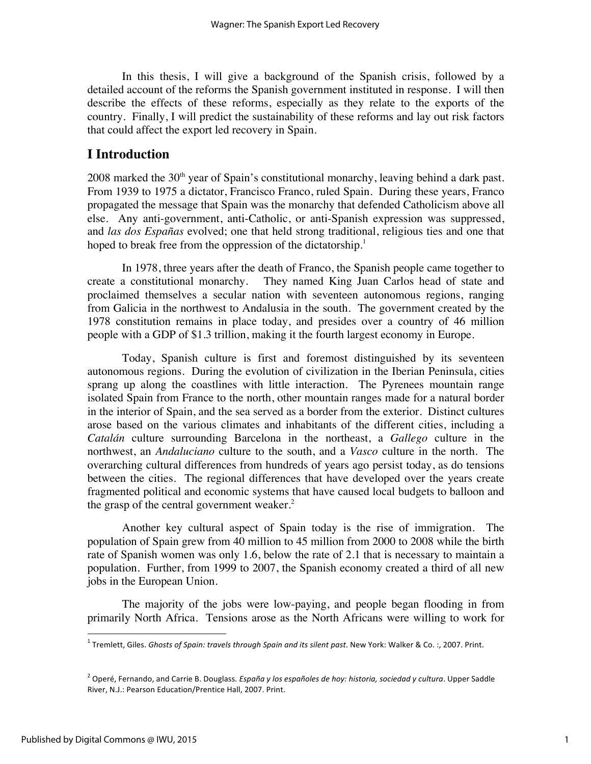In this thesis, I will give a background of the Spanish crisis, followed by a detailed account of the reforms the Spanish government instituted in response. I will then describe the effects of these reforms, especially as they relate to the exports of the country. Finally, I will predict the sustainability of these reforms and lay out risk factors that could affect the export led recovery in Spain.

## **I Introduction**

 $2008$  marked the  $30<sup>th</sup>$  year of Spain's constitutional monarchy, leaving behind a dark past. From 1939 to 1975 a dictator, Francisco Franco, ruled Spain. During these years, Franco propagated the message that Spain was the monarchy that defended Catholicism above all else. Any anti-government, anti-Catholic, or anti-Spanish expression was suppressed, and *las dos Españas* evolved; one that held strong traditional, religious ties and one that hoped to break free from the oppression of the dictatorship.<sup>1</sup>

In 1978, three years after the death of Franco, the Spanish people came together to create a constitutional monarchy. They named King Juan Carlos head of state and proclaimed themselves a secular nation with seventeen autonomous regions, ranging from Galicia in the northwest to Andalusia in the south. The government created by the 1978 constitution remains in place today, and presides over a country of 46 million people with a GDP of \$1.3 trillion, making it the fourth largest economy in Europe.

Today, Spanish culture is first and foremost distinguished by its seventeen autonomous regions. During the evolution of civilization in the Iberian Peninsula, cities sprang up along the coastlines with little interaction. The Pyrenees mountain range isolated Spain from France to the north, other mountain ranges made for a natural border in the interior of Spain, and the sea served as a border from the exterior. Distinct cultures arose based on the various climates and inhabitants of the different cities, including a *Catalán* culture surrounding Barcelona in the northeast, a *Gallego* culture in the northwest, an *Andaluciano* culture to the south, and a *Vasco* culture in the north. The overarching cultural differences from hundreds of years ago persist today, as do tensions between the cities. The regional differences that have developed over the years create fragmented political and economic systems that have caused local budgets to balloon and the grasp of the central government weaker.<sup>2</sup>

Another key cultural aspect of Spain today is the rise of immigration. The population of Spain grew from 40 million to 45 million from 2000 to 2008 while the birth rate of Spanish women was only 1.6, below the rate of 2.1 that is necessary to maintain a population. Further, from 1999 to 2007, the Spanish economy created a third of all new jobs in the European Union.

The majority of the jobs were low-paying, and people began flooding in from primarily North Africa. Tensions arose as the North Africans were willing to work for

<sup>&</sup>lt;sup>1</sup> Tremlett, Giles. Ghosts of Spain: travels through Spain and its silent past. New York: Walker & Co.:, 2007. Print.

<sup>&</sup>lt;sup>2</sup> Operé, Fernando, and Carrie B. Douglass. *España y los españoles de hoy: historia, sociedad y cultura*. Upper Saddle River, N.J.: Pearson Education/Prentice Hall, 2007. Print.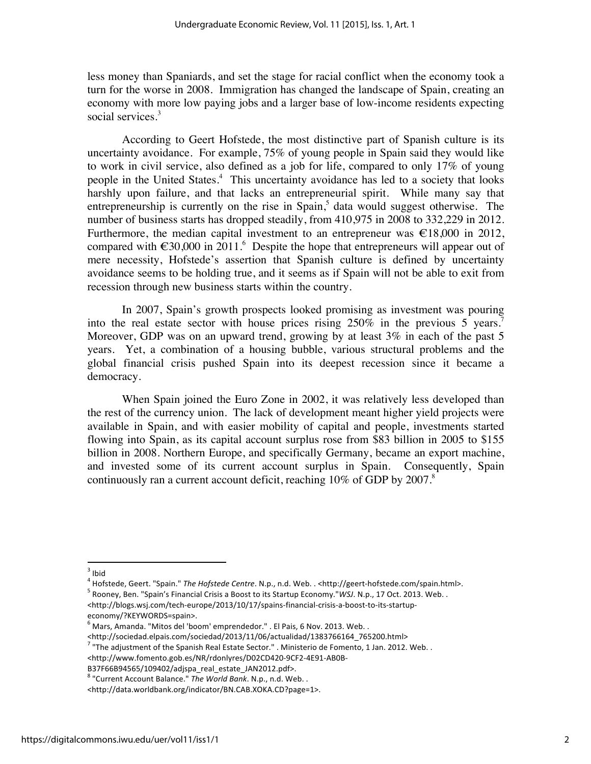less money than Spaniards, and set the stage for racial conflict when the economy took a turn for the worse in 2008. Immigration has changed the landscape of Spain, creating an economy with more low paying jobs and a larger base of low-income residents expecting social services.<sup>3</sup>

According to Geert Hofstede, the most distinctive part of Spanish culture is its uncertainty avoidance. For example, 75% of young people in Spain said they would like to work in civil service, also defined as a job for life, compared to only 17% of young people in the United States.<sup>4</sup> This uncertainty avoidance has led to a society that looks harshly upon failure, and that lacks an entrepreneurial spirit. While many say that entrepreneurship is currently on the rise in Spain, $\delta$  data would suggest otherwise. The number of business starts has dropped steadily, from 410,975 in 2008 to 332,229 in 2012. Furthermore, the median capital investment to an entrepreneur was  $\epsilon$ 18,000 in 2012, compared with  $\epsilon$ 30,000 in 2011.<sup>6</sup> Despite the hope that entrepreneurs will appear out of mere necessity, Hofstede's assertion that Spanish culture is defined by uncertainty avoidance seems to be holding true, and it seems as if Spain will not be able to exit from recession through new business starts within the country.

In 2007, Spain's growth prospects looked promising as investment was pouring into the real estate sector with house prices rising  $250\%$  in the previous 5 years.<sup>7</sup> Moreover, GDP was on an upward trend, growing by at least 3% in each of the past 5 years. Yet, a combination of a housing bubble, various structural problems and the global financial crisis pushed Spain into its deepest recession since it became a democracy.

When Spain joined the Euro Zone in 2002, it was relatively less developed than the rest of the currency union. The lack of development meant higher yield projects were available in Spain, and with easier mobility of capital and people, investments started flowing into Spain, as its capital account surplus rose from \$83 billion in 2005 to \$155 billion in 2008. Northern Europe, and specifically Germany, became an export machine, and invested some of its current account surplus in Spain. Consequently, Spain continuously ran a current account deficit, reaching  $10\%$  of GDP by  $2007$ .<sup>8</sup>

<sup>!!!!!!!!!!!!!!!!!!!!!!!!!!!!!!!!!!!!!!!!!!!!!!!!!!!!!!</sup> <sup>3</sup> Ibid

<sup>&</sup>lt;sup>4</sup> Hofstede, Geert. "Spain." The Hofstede Centre. N.p., n.d. Web. . <http://geert-hofstede.com/spain.html>.<br><sup>5</sup> Rooney, Ben. "Spain's Financial Crisis a Boost to its Startup Economy."WSJ. N.p., 17 Oct. 2013. Web. . <http://blogs.wsj.com/tech-europe/2013/10/17/spains-financial-crisis-a-boost-to-its-startup-

economy/?KEYWORDS=spain>.

 $^6$  Mars, Amanda. "Mitos del 'boom' emprendedor." . El Pais, 6 Nov. 2013. Web. .

<sup>&</sup>lt;http://sociedad.elpais.com/sociedad/2013/11/06/actualidad/1383766164\_765200.html>

<sup>&</sup>lt;sup>7</sup> "The adjustment of the Spanish Real Estate Sector." . Ministerio de Fomento, 1 Jan. 2012. Web. .

<sup>&</sup>lt;http://www.fomento.gob.es/NR/rdonlyres/D02CD420-9CF2-4E91-AB0B-B37F66B94565/109402/adjspa\_real\_estate\_JAN2012.pdf>.

<sup>&</sup>lt;sup>8</sup> "Current Account Balance." The World Bank. N.p., n.d. Web. .

<sup>&</sup>lt;http://data.worldbank.org/indicator/BN.CAB.XOKA.CD?page=1>.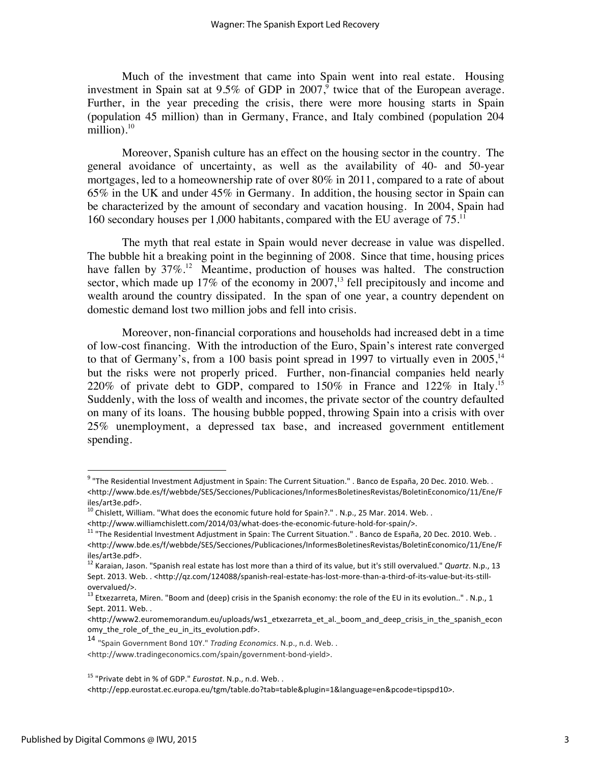Much of the investment that came into Spain went into real estate. Housing investment in Spain sat at  $9.5\%$  of GDP in 2007,<sup>9</sup> twice that of the European average. Further, in the year preceding the crisis, there were more housing starts in Spain (population 45 million) than in Germany, France, and Italy combined (population 204 million). $10$ 

Moreover, Spanish culture has an effect on the housing sector in the country. The general avoidance of uncertainty, as well as the availability of 40- and 50-year mortgages, led to a homeownership rate of over 80% in 2011, compared to a rate of about 65% in the UK and under 45% in Germany. In addition, the housing sector in Spain can be characterized by the amount of secondary and vacation housing. In 2004, Spain had 160 secondary houses per 1,000 habitants, compared with the EU average of  $75$ <sup>11</sup>

The myth that real estate in Spain would never decrease in value was dispelled. The bubble hit a breaking point in the beginning of 2008. Since that time, housing prices have fallen by  $37\%$ .<sup>12</sup> Meantime, production of houses was halted. The construction sector, which made up 17% of the economy in 2007,<sup>13</sup> fell precipitously and income and wealth around the country dissipated. In the span of one year, a country dependent on domestic demand lost two million jobs and fell into crisis.

Moreover, non-financial corporations and households had increased debt in a time of low-cost financing. With the introduction of the Euro, Spain's interest rate converged to that of Germany's, from a 100 basis point spread in 1997 to virtually even in  $2005$ ,<sup>14</sup> but the risks were not properly priced. Further, non-financial companies held nearly 220% of private debt to GDP, compared to 150% in France and 122% in Italy.<sup>15</sup> Suddenly, with the loss of wealth and incomes, the private sector of the country defaulted on many of its loans. The housing bubble popped, throwing Spain into a crisis with over 25% unemployment, a depressed tax base, and increased government entitlement spending.

<sup>&</sup>lt;sup>9</sup> "The Residential Investment Adjustment in Spain: The Current Situation." . Banco de España, 20 Dec. 2010. Web. . <http://www.bde.es/f/webbde/SES/Secciones/Publicaciones/InformesBoletinesRevistas/BoletinEconomico/11/Ene/F iles/art3e.pdf>.

 $^{10}$  Chislett, William. "What does the economic future hold for Spain?." . N.p., 25 Mar. 2014. Web. .

<sup>&</sup>lt;http://www.williamchislett.com/2014/03/what-does-the-economic-future-hold-for-spain/>.<br><sup>11</sup> "The Residential Investment Adjustment in Spain: The Current Situation." . Banco de España, 20 Dec. 2010. Web. . <http://www.bde.es/f/webbde/SES/Secciones/Publicaciones/InformesBoletinesRevistas/BoletinEconomico/11/Ene/F iles/art3e.pdf>.

<sup>12</sup> Karaian, Jason. "Spanish real estate has lost more than a third of its value, but it's still overvalued." *Quartz*. N.p., 13 Sept. 2013. Web. . <http://qz.com/124088/spanish-real-estate-has-lost-more-than-a-third-of-its-value-but-its-stillovervalued/>.

<sup>&</sup>lt;sup>13</sup> Etxezarreta, Miren. "Boom and (deep) crisis in the Spanish economy: the role of the EU in its evolution.." . N.p., 1 Sept. 2011. Web. .

<sup>&</sup>lt;http://www2.euromemorandum.eu/uploads/ws1\_etxezarreta\_et\_al.\_boom\_and\_deep\_crisis\_in\_the\_spanish\_econ omy the role of the eu in its evolution.pdf>.

<sup>14 &</sup>quot;Spain Government Bond 10Y." Trading Economics. N.p., n.d. Web. .

<sup>&</sup>lt;http://www.tradingeconomics.com/spain/government-bond-yield>.

<sup>&</sup>lt;sup>15</sup> "Private debt in % of GDP." *Eurostat*. N.p., n.d. Web..

<sup>&</sup>lt;http://epp.eurostat.ec.europa.eu/tgm/table.do?tab=table&plugin=1&language=en&pcode=tipspd10>.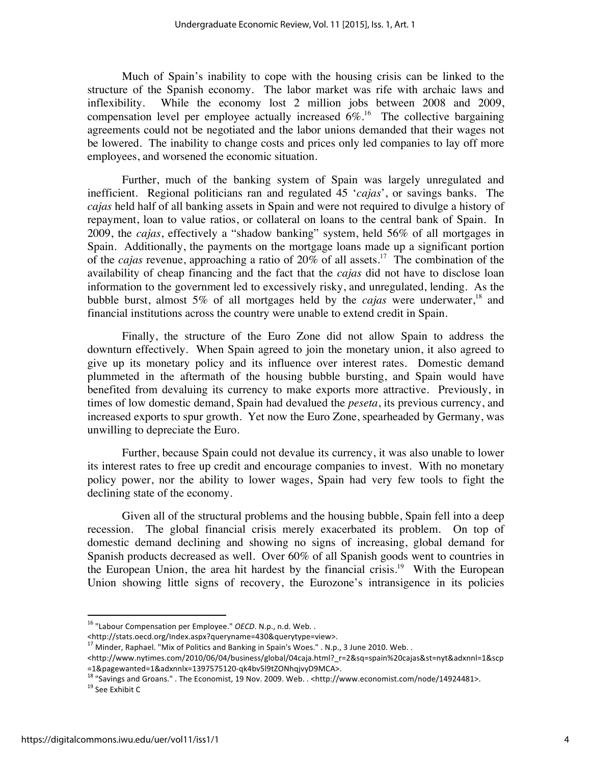Much of Spain's inability to cope with the housing crisis can be linked to the structure of the Spanish economy. The labor market was rife with archaic laws and inflexibility. While the economy lost 2 million jobs between 2008 and 2009, compensation level per employee actually increased  $6\%$ .<sup>16</sup> The collective bargaining agreements could not be negotiated and the labor unions demanded that their wages not be lowered. The inability to change costs and prices only led companies to lay off more employees, and worsened the economic situation.

Further, much of the banking system of Spain was largely unregulated and inefficient. Regional politicians ran and regulated 45 '*cajas*', or savings banks. The *cajas* held half of all banking assets in Spain and were not required to divulge a history of repayment, loan to value ratios, or collateral on loans to the central bank of Spain. In 2009, the *cajas*, effectively a "shadow banking" system, held 56% of all mortgages in Spain. Additionally, the payments on the mortgage loans made up a significant portion of the *cajas* revenue, approaching a ratio of 20% of all assets.17 The combination of the availability of cheap financing and the fact that the *cajas* did not have to disclose loan information to the government led to excessively risky, and unregulated, lending. As the bubble burst, almost 5% of all mortgages held by the *cajas* were underwater,<sup>18</sup> and financial institutions across the country were unable to extend credit in Spain.

Finally, the structure of the Euro Zone did not allow Spain to address the downturn effectively. When Spain agreed to join the monetary union, it also agreed to give up its monetary policy and its influence over interest rates. Domestic demand plummeted in the aftermath of the housing bubble bursting, and Spain would have benefited from devaluing its currency to make exports more attractive. Previously, in times of low domestic demand, Spain had devalued the *peseta*, its previous currency, and increased exports to spur growth. Yet now the Euro Zone, spearheaded by Germany, was unwilling to depreciate the Euro.

Further, because Spain could not devalue its currency, it was also unable to lower its interest rates to free up credit and encourage companies to invest. With no monetary policy power, nor the ability to lower wages, Spain had very few tools to fight the declining state of the economy.

Given all of the structural problems and the housing bubble, Spain fell into a deep recession. The global financial crisis merely exacerbated its problem. On top of domestic demand declining and showing no signs of increasing, global demand for Spanish products decreased as well. Over 60% of all Spanish goods went to countries in the European Union, the area hit hardest by the financial crisis.<sup>19</sup> With the European Union showing little signs of recovery, the Eurozone's intransigence in its policies

<sup>&</sup>lt;sup>16</sup> "Labour Compensation per Employee." OECD. N.p., n.d. Web. .

<sup>&</sup>lt;http://stats.oecd.org/Index.aspx?queryname=430&querytype=view>.

<sup>&</sup>lt;sup>17</sup> Minder, Raphael. "Mix of Politics and Banking in Spain's Woes." . N.p., 3 June 2010. Web. .

<sup>&</sup>lt;http://www.nytimes.com/2010/06/04/business/global/04caja.html?\_r=2&sq=spain%20cajas&st=nyt&adxnnl=1&scp =1&pagewanted=1&adxnnlx=1397575120-qk4bv5l9tZONhqjvyD9MCA>.<br><sup>18</sup> "Savings and Groans." . The Economist, 19 Nov. 2009. Web. . <http://www.economist.com/node/14924481>.<br><sup>19</sup> See Exhibit C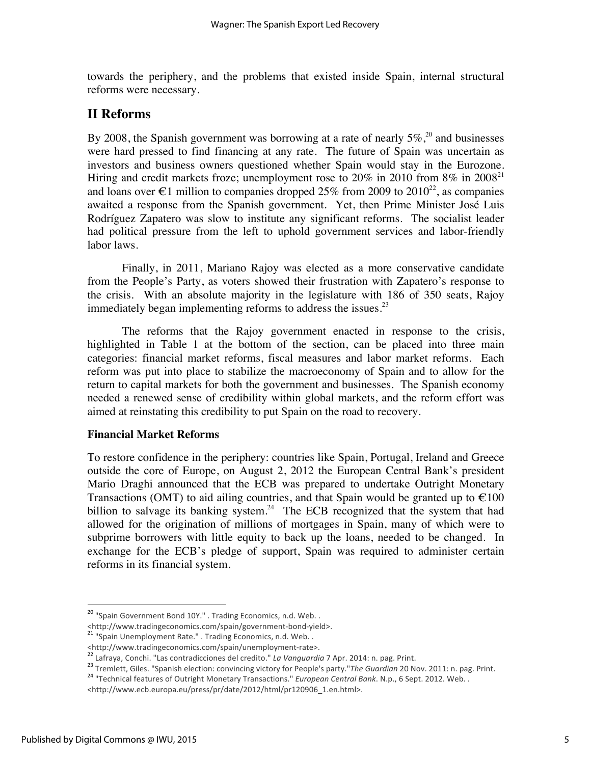towards the periphery, and the problems that existed inside Spain, internal structural reforms were necessary.

## **II Reforms**

By 2008, the Spanish government was borrowing at a rate of nearly  $5\%$ ,<sup>20</sup> and businesses were hard pressed to find financing at any rate. The future of Spain was uncertain as investors and business owners questioned whether Spain would stay in the Eurozone. Hiring and credit markets froze; unemployment rose to  $20\%$  in  $2010$  from  $8\%$  in  $2008<sup>21</sup>$ and loans over  $\epsilon$ 1 million to companies dropped 25% from 2009 to 2010<sup>22</sup>, as companies awaited a response from the Spanish government. Yet, then Prime Minister José Luis Rodríguez Zapatero was slow to institute any significant reforms. The socialist leader had political pressure from the left to uphold government services and labor-friendly labor laws.

Finally, in 2011, Mariano Rajoy was elected as a more conservative candidate from the People's Party, as voters showed their frustration with Zapatero's response to the crisis. With an absolute majority in the legislature with 186 of 350 seats, Rajoy immediately began implementing reforms to address the issues.<sup>23</sup>

The reforms that the Rajoy government enacted in response to the crisis, highlighted in Table 1 at the bottom of the section, can be placed into three main categories: financial market reforms, fiscal measures and labor market reforms. Each reform was put into place to stabilize the macroeconomy of Spain and to allow for the return to capital markets for both the government and businesses. The Spanish economy needed a renewed sense of credibility within global markets, and the reform effort was aimed at reinstating this credibility to put Spain on the road to recovery.

### **Financial Market Reforms**

To restore confidence in the periphery: countries like Spain, Portugal, Ireland and Greece outside the core of Europe, on August 2, 2012 the European Central Bank's president Mario Draghi announced that the ECB was prepared to undertake Outright Monetary Transactions (OMT) to aid ailing countries, and that Spain would be granted up to  $\epsilon$ 100 billion to salvage its banking system.<sup>24</sup> The ECB recognized that the system that had allowed for the origination of millions of mortgages in Spain, many of which were to subprime borrowers with little equity to back up the loans, needed to be changed. In exchange for the ECB's pledge of support, Spain was required to administer certain reforms in its financial system.

<sup>&</sup>lt;sup>20</sup> "Spain Government Bond 10Y." . Trading Economics, n.d. Web. .

<sup>&</sup>lt;http://www.tradingeconomics.com/spain/government-bond-yield>. 21 "Spain Unemployment Rate." . Trading Economics, n.d. Web. .

<sup>&</sup>lt;http://www.tradingeconomics.com/spain/unemployment-rate>.<br>
<sup>22</sup> Lafraya, Conchi. "Las contradicciones del credito." *La Vanguardia* 7 Apr. 2014: n. pag. Print.<br>
<sup>23</sup> Tremlett, Giles. "Spanish election: convincing victory

<sup>&</sup>lt;http://www.ecb.europa.eu/press/pr/date/2012/html/pr120906\_1.en.html>.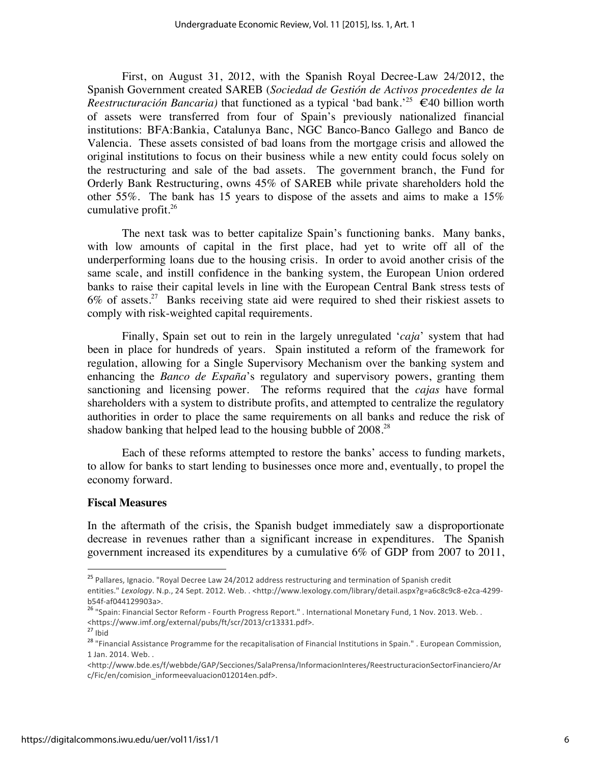First, on August 31, 2012, with the Spanish Royal Decree-Law 24/2012, the Spanish Government created SAREB (*Sociedad de Gestión de Activos procedentes de la Reestructuración Bancaria*) that functioned as a typical 'bad bank.<sup>25</sup>  $\epsilon$ 40 billion worth of assets were transferred from four of Spain's previously nationalized financial institutions: BFA:Bankia, Catalunya Banc, NGC Banco-Banco Gallego and Banco de Valencia. These assets consisted of bad loans from the mortgage crisis and allowed the original institutions to focus on their business while a new entity could focus solely on the restructuring and sale of the bad assets. The government branch, the Fund for Orderly Bank Restructuring, owns 45% of SAREB while private shareholders hold the other 55%. The bank has 15 years to dispose of the assets and aims to make a 15% cumulative profit.26

The next task was to better capitalize Spain's functioning banks. Many banks, with low amounts of capital in the first place, had yet to write off all of the underperforming loans due to the housing crisis. In order to avoid another crisis of the same scale, and instill confidence in the banking system, the European Union ordered banks to raise their capital levels in line with the European Central Bank stress tests of  $6\%$  of assets.<sup>27</sup> Banks receiving state aid were required to shed their riskiest assets to comply with risk-weighted capital requirements.

Finally, Spain set out to rein in the largely unregulated '*caja*' system that had been in place for hundreds of years. Spain instituted a reform of the framework for regulation, allowing for a Single Supervisory Mechanism over the banking system and enhancing the *Banco de España*'s regulatory and supervisory powers, granting them sanctioning and licensing power. The reforms required that the *cajas* have formal shareholders with a system to distribute profits, and attempted to centralize the regulatory authorities in order to place the same requirements on all banks and reduce the risk of shadow banking that helped lead to the housing bubble of 2008.<sup>28</sup>

Each of these reforms attempted to restore the banks' access to funding markets, to allow for banks to start lending to businesses once more and, eventually, to propel the economy forward.

#### **Fiscal Measures**

In the aftermath of the crisis, the Spanish budget immediately saw a disproportionate decrease in revenues rather than a significant increase in expenditures. The Spanish government increased its expenditures by a cumulative 6% of GDP from 2007 to 2011,

<sup>&</sup>lt;sup>25</sup> Pallares, Ignacio. "Royal Decree Law 24/2012 address restructuring and termination of Spanish credit entities." Lexology. N.p., 24 Sept. 2012. Web. . <http://www.lexology.com/library/detail.aspx?g=a6c8c9c8-e2ca-4299-

b54f-af044129903a>.<br><sup>26</sup> "Spain: Financial Sector Reform - Fourth Progress Report." . International Monetary Fund, 1 Nov. 2013. Web. . <https://www.imf.org/external/pubs/ft/scr/2013/cr13331.pdf>.<br><sup>27</sup> Ihid

<sup>&</sup>lt;sup>28</sup> "Financial Assistance Programme for the recapitalisation of Financial Institutions in Spain." . European Commission, 1 Jan. 2014. Web...

<sup>&</sup>lt;http://www.bde.es/f/webbde/GAP/Secciones/SalaPrensa/InformacionInteres/ReestructuracionSectorFinanciero/Ar c/Fic/en/comision\_informeevaluacion012014en.pdf>.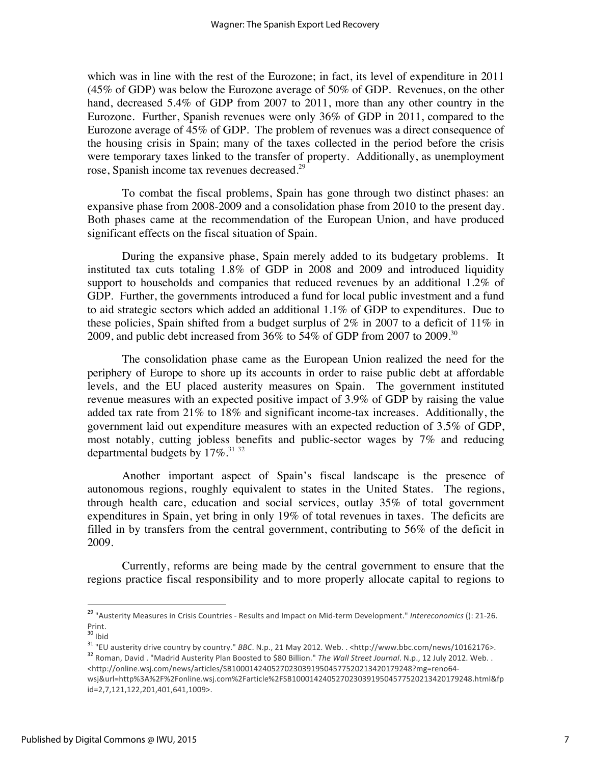which was in line with the rest of the Eurozone; in fact, its level of expenditure in 2011 (45% of GDP) was below the Eurozone average of 50% of GDP. Revenues, on the other hand, decreased 5.4% of GDP from 2007 to 2011, more than any other country in the Eurozone. Further, Spanish revenues were only 36% of GDP in 2011, compared to the Eurozone average of 45% of GDP. The problem of revenues was a direct consequence of the housing crisis in Spain; many of the taxes collected in the period before the crisis were temporary taxes linked to the transfer of property. Additionally, as unemployment rose, Spanish income tax revenues decreased.29

To combat the fiscal problems, Spain has gone through two distinct phases: an expansive phase from 2008-2009 and a consolidation phase from 2010 to the present day. Both phases came at the recommendation of the European Union, and have produced significant effects on the fiscal situation of Spain.

During the expansive phase, Spain merely added to its budgetary problems. It instituted tax cuts totaling 1.8% of GDP in 2008 and 2009 and introduced liquidity support to households and companies that reduced revenues by an additional 1.2% of GDP. Further, the governments introduced a fund for local public investment and a fund to aid strategic sectors which added an additional 1.1% of GDP to expenditures. Due to these policies, Spain shifted from a budget surplus of 2% in 2007 to a deficit of 11% in 2009, and public debt increased from  $36\%$  to  $54\%$  of GDP from 2007 to 2009.<sup>30</sup>

The consolidation phase came as the European Union realized the need for the periphery of Europe to shore up its accounts in order to raise public debt at affordable levels, and the EU placed austerity measures on Spain. The government instituted revenue measures with an expected positive impact of 3.9% of GDP by raising the value added tax rate from 21% to 18% and significant income-tax increases. Additionally, the government laid out expenditure measures with an expected reduction of 3.5% of GDP, most notably, cutting jobless benefits and public-sector wages by 7% and reducing departmental budgets by  $17\%$ .<sup>31 32</sup>

Another important aspect of Spain's fiscal landscape is the presence of autonomous regions, roughly equivalent to states in the United States. The regions, through health care, education and social services, outlay 35% of total government expenditures in Spain, yet bring in only 19% of total revenues in taxes. The deficits are filled in by transfers from the central government, contributing to 56% of the deficit in 2009.

Currently, reforms are being made by the central government to ensure that the regions practice fiscal responsibility and to more properly allocate capital to regions to

<sup>&</sup>lt;sup>29</sup> "Austerity Measures in Crisis Countries - Results and Impact on Mid-term Development." *Intereconomics* (): 21-26. Print.<br><sup>30</sup> Ibid

<sup>&</sup>lt;sup>31</sup> "EU austerity drive country by country." *BBC*. N.p., 21 May 2012. Web. . <http://www.bbc.com/news/10162176>.<br><sup>32</sup> Roman, David . "Madrid Austerity Plan Boosted to \$80 Billion." *The Wall Street Journal*. N.p., 12 Ju <http://online.wsj.com/news/articles/SB10001424052702303919504577520213420179248?mg=reno64wsj&url=http%3A%2F%2Fonline.wsj.com%2Farticle%2FSB10001424052702303919504577520213420179248.html&fp id=2,7,121,122,201,401,641,1009>.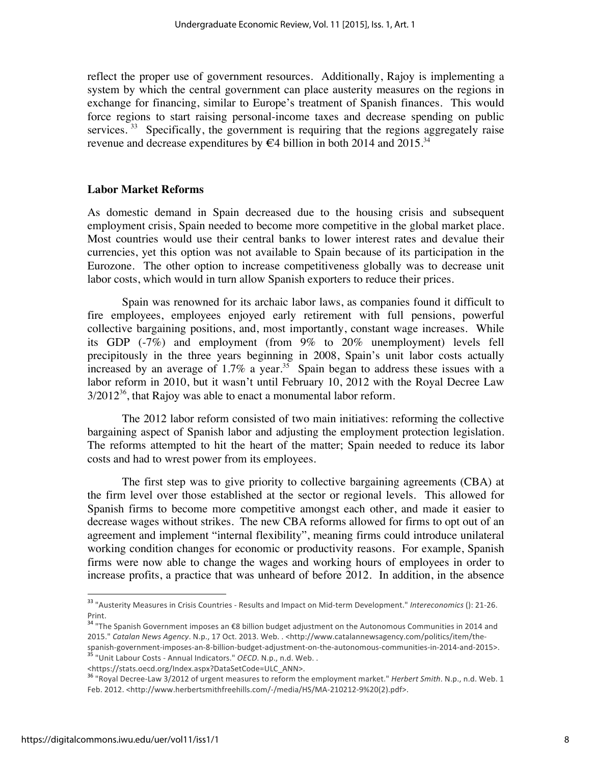reflect the proper use of government resources. Additionally, Rajoy is implementing a system by which the central government can place austerity measures on the regions in exchange for financing, similar to Europe's treatment of Spanish finances. This would force regions to start raising personal-income taxes and decrease spending on public services.  $33$  Specifically, the government is requiring that the regions aggregately raise revenue and decrease expenditures by  $\epsilon$ 4 billion in both 2014 and 2015.<sup>34</sup>

#### **Labor Market Reforms**

As domestic demand in Spain decreased due to the housing crisis and subsequent employment crisis, Spain needed to become more competitive in the global market place. Most countries would use their central banks to lower interest rates and devalue their currencies, yet this option was not available to Spain because of its participation in the Eurozone. The other option to increase competitiveness globally was to decrease unit labor costs, which would in turn allow Spanish exporters to reduce their prices.

Spain was renowned for its archaic labor laws, as companies found it difficult to fire employees, employees enjoyed early retirement with full pensions, powerful collective bargaining positions, and, most importantly, constant wage increases. While its GDP (-7%) and employment (from 9% to 20% unemployment) levels fell precipitously in the three years beginning in 2008, Spain's unit labor costs actually increased by an average of  $1.7\%$  a year.<sup>35</sup> Spain began to address these issues with a labor reform in 2010, but it wasn't until February 10, 2012 with the Royal Decree Law  $3/2012^{36}$ , that Rajoy was able to enact a monumental labor reform.

The 2012 labor reform consisted of two main initiatives: reforming the collective bargaining aspect of Spanish labor and adjusting the employment protection legislation. The reforms attempted to hit the heart of the matter; Spain needed to reduce its labor costs and had to wrest power from its employees.

The first step was to give priority to collective bargaining agreements (CBA) at the firm level over those established at the sector or regional levels. This allowed for Spanish firms to become more competitive amongst each other, and made it easier to decrease wages without strikes. The new CBA reforms allowed for firms to opt out of an agreement and implement "internal flexibility", meaning firms could introduce unilateral working condition changes for economic or productivity reasons. For example, Spanish firms were now able to change the wages and working hours of employees in order to increase profits, a practice that was unheard of before 2012. In addition, in the absence

<sup>&</sup>lt;sup>33</sup> "Austerity Measures in Crisis Countries - Results and Impact on Mid-term Development." *Intereconomics* (): 21-26. Print.

<sup>&</sup>lt;sup>34</sup> "The Spanish Government imposes an €8 billion budget adjustment on the Autonomous Communities in 2014 and 2015." Catalan News Agency. N.p., 17 Oct. 2013. Web. . <http://www.catalannewsagency.com/politics/item/thespanish-government-imposes-an-8-billion-budget-adjustment-on-the-autonomous-communities-in-2014-and-2015>.<br><sup>35</sup> "Unit Labour Costs - Annual Indicators." *OECD*. N.p., n.d. Web. .

<sup>&</sup>lt;https://stats.oecd.org/Index.aspx?DataSetCode=ULC\_ANN>.

<sup>&</sup>lt;sup>36</sup> "Royal Decree-Law 3/2012 of urgent measures to reform the employment market." *Herbert Smith*. N.p., n.d. Web. 1 Feb. 2012. <http://www.herbertsmithfreehills.com/-/media/HS/MA-210212-9%20(2).pdf>.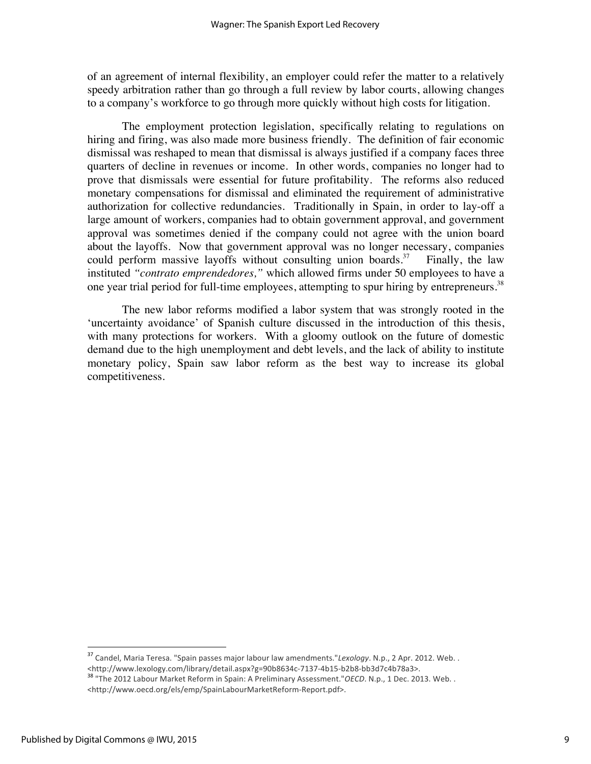of an agreement of internal flexibility, an employer could refer the matter to a relatively speedy arbitration rather than go through a full review by labor courts, allowing changes to a company's workforce to go through more quickly without high costs for litigation.

The employment protection legislation, specifically relating to regulations on hiring and firing, was also made more business friendly. The definition of fair economic dismissal was reshaped to mean that dismissal is always justified if a company faces three quarters of decline in revenues or income. In other words, companies no longer had to prove that dismissals were essential for future profitability. The reforms also reduced monetary compensations for dismissal and eliminated the requirement of administrative authorization for collective redundancies. Traditionally in Spain, in order to lay-off a large amount of workers, companies had to obtain government approval, and government approval was sometimes denied if the company could not agree with the union board about the layoffs. Now that government approval was no longer necessary, companies could perform massive layoffs without consulting union boards.<sup>37</sup> Finally, the law instituted *"contrato emprendedores,"* which allowed firms under 50 employees to have a one year trial period for full-time employees, attempting to spur hiring by entrepreneurs.<sup>38</sup>

The new labor reforms modified a labor system that was strongly rooted in the 'uncertainty avoidance' of Spanish culture discussed in the introduction of this thesis, with many protections for workers. With a gloomy outlook on the future of domestic demand due to the high unemployment and debt levels, and the lack of ability to institute monetary policy, Spain saw labor reform as the best way to increase its global competitiveness.

<sup>&</sup>lt;sup>37</sup> Candel, Maria Teresa. "Spain passes major labour law amendments."*Lexology*. N.p., 2 Apr. 2012. Web. .<br><http://www.lexology.com/library/detail.aspx?g=90b8634c-7137-4b15-b2b8-bb3d7c4b78a3>.

<sup>38 &</sup>quot;The 2012 Labour Market Reform in Spain: A Preliminary Assessment."OECD. N.p., 1 Dec. 2013. Web. . <http://www.oecd.org/els/emp/SpainLabourMarketReform-Report.pdf>.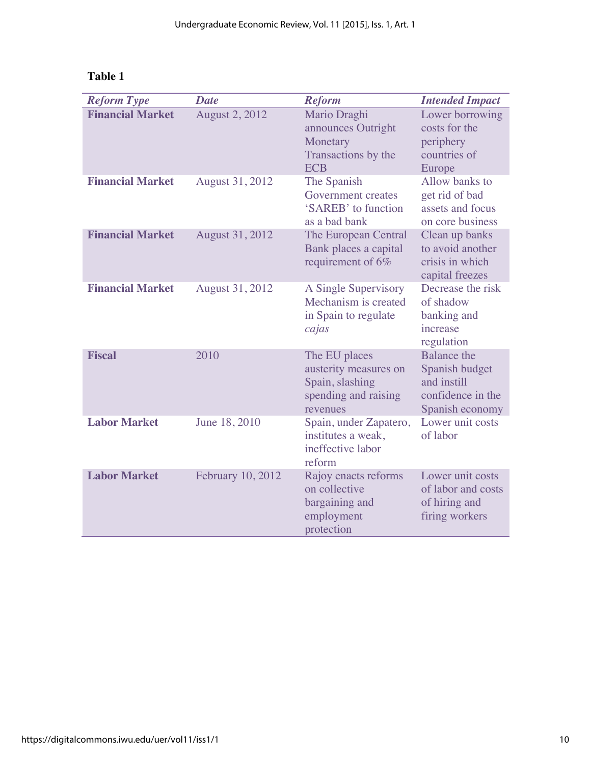| ш<br>.,<br>۱<br>л |  |
|-------------------|--|
|-------------------|--|

| <b>Reform Type</b>      | <b>Date</b>            | <b>Reform</b>                                                                                 | <b>Intended Impact</b>                                                                      |
|-------------------------|------------------------|-----------------------------------------------------------------------------------------------|---------------------------------------------------------------------------------------------|
| <b>Financial Market</b> | <b>August 2, 2012</b>  | Mario Draghi<br>announces Outright<br>Monetary<br>Transactions by the<br><b>ECB</b>           | Lower borrowing<br>costs for the<br>periphery<br>countries of<br>Europe                     |
| <b>Financial Market</b> | August 31, 2012        | The Spanish<br>Government creates<br>'SAREB' to function<br>as a bad bank                     | Allow banks to<br>get rid of bad<br>assets and focus<br>on core business                    |
| <b>Financial Market</b> | <b>August 31, 2012</b> | The European Central<br>Bank places a capital<br>requirement of 6%                            | Clean up banks<br>to avoid another<br>crisis in which<br>capital freezes                    |
| <b>Financial Market</b> | August 31, 2012        | A Single Supervisory<br>Mechanism is created<br>in Spain to regulate<br>cajas                 | Decrease the risk<br>of shadow<br>banking and<br>increase<br>regulation                     |
| <b>Fiscal</b>           | 2010                   | The EU places<br>austerity measures on<br>Spain, slashing<br>spending and raising<br>revenues | <b>Balance</b> the<br>Spanish budget<br>and instill<br>confidence in the<br>Spanish economy |
| <b>Labor Market</b>     | June 18, 2010          | Spain, under Zapatero,<br>institutes a weak,<br>ineffective labor<br>reform                   | Lower unit costs<br>of labor                                                                |
| <b>Labor Market</b>     | February 10, 2012      | Rajoy enacts reforms<br>on collective<br>bargaining and<br>employment<br>protection           | Lower unit costs<br>of labor and costs<br>of hiring and<br>firing workers                   |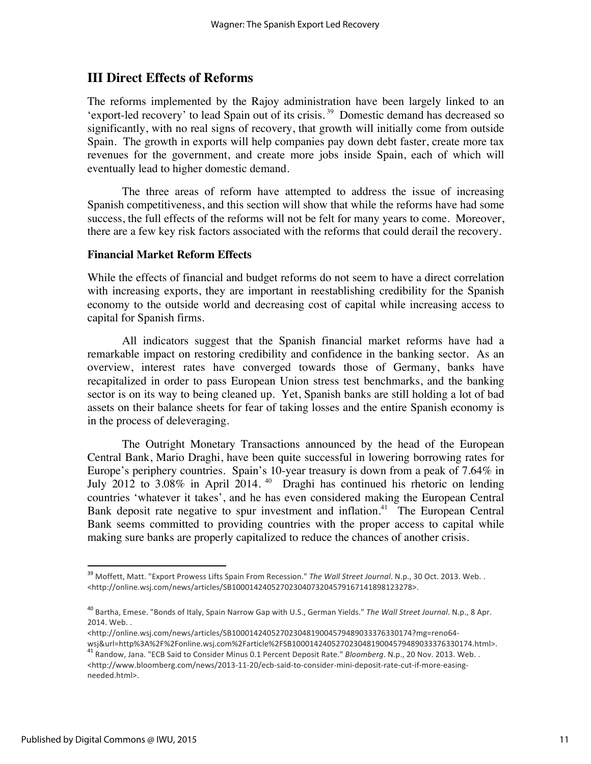## **III Direct Effects of Reforms**

The reforms implemented by the Rajoy administration have been largely linked to an 'export-led recovery' to lead Spain out of its crisis. 39 Domestic demand has decreased so significantly, with no real signs of recovery, that growth will initially come from outside Spain. The growth in exports will help companies pay down debt faster, create more tax revenues for the government, and create more jobs inside Spain, each of which will eventually lead to higher domestic demand.

The three areas of reform have attempted to address the issue of increasing Spanish competitiveness, and this section will show that while the reforms have had some success, the full effects of the reforms will not be felt for many years to come. Moreover, there are a few key risk factors associated with the reforms that could derail the recovery.

#### **Financial Market Reform Effects**

While the effects of financial and budget reforms do not seem to have a direct correlation with increasing exports, they are important in reestablishing credibility for the Spanish economy to the outside world and decreasing cost of capital while increasing access to capital for Spanish firms.

All indicators suggest that the Spanish financial market reforms have had a remarkable impact on restoring credibility and confidence in the banking sector. As an overview, interest rates have converged towards those of Germany, banks have recapitalized in order to pass European Union stress test benchmarks, and the banking sector is on its way to being cleaned up. Yet, Spanish banks are still holding a lot of bad assets on their balance sheets for fear of taking losses and the entire Spanish economy is in the process of deleveraging.

The Outright Monetary Transactions announced by the head of the European Central Bank, Mario Draghi, have been quite successful in lowering borrowing rates for Europe's periphery countries. Spain's 10-year treasury is down from a peak of 7.64% in July 2012 to 3.08% in April 2014. 40 Draghi has continued his rhetoric on lending countries 'whatever it takes', and he has even considered making the European Central Bank deposit rate negative to spur investment and inflation.<sup>41</sup> The European Central Bank seems committed to providing countries with the proper access to capital while making sure banks are properly capitalized to reduce the chances of another crisis.

<http://online.wsj.com/news/articles/SB10001424052702304819004579489033376330174?mg=reno64-

wsj&url=http%3A%2F%2Fonline.wsj.com%2Farticle%2FSB10001424052702304819004579489033376330174.html>.

<sup>&</sup>lt;sup>39</sup> Moffett, Matt. "Export Prowess Lifts Spain From Recession." The Wall Street Journal. N.p., 30 Oct. 2013. Web. . <http://online.wsj.com/news/articles/SB10001424052702304073204579167141898123278>.

<sup>&</sup>lt;sup>40</sup> Bartha, Emese. "Bonds of Italy, Spain Narrow Gap with U.S., German Yields." The Wall Street Journal. N.p., 8 Apr. 2014. Web...

<sup>&</sup>lt;sup>41</sup> Randow, Jana. "ECB Said to Consider Minus 0.1 Percent Deposit Rate." *Bloomberg*. N.p., 20 Nov. 2013. Web. . <http://www.bloomberg.com/news/2013-11-20/ecb-said-to-consider-mini-deposit-rate-cut-if-more-easingneeded.html>.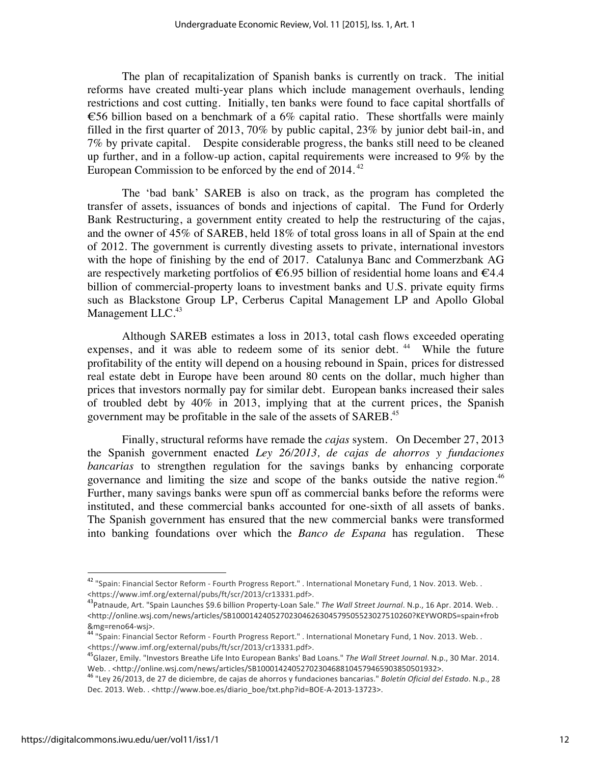The plan of recapitalization of Spanish banks is currently on track. The initial reforms have created multi-year plans which include management overhauls, lending restrictions and cost cutting. Initially, ten banks were found to face capital shortfalls of €56 billion based on a benchmark of a 6% capital ratio. These shortfalls were mainly filled in the first quarter of 2013, 70% by public capital, 23% by junior debt bail-in, and 7% by private capital. Despite considerable progress, the banks still need to be cleaned up further, and in a follow-up action, capital requirements were increased to 9% by the European Commission to be enforced by the end of 2014. 42

The 'bad bank' SAREB is also on track, as the program has completed the transfer of assets, issuances of bonds and injections of capital. The Fund for Orderly Bank Restructuring, a government entity created to help the restructuring of the cajas, and the owner of 45% of SAREB, held 18% of total gross loans in all of Spain at the end of 2012. The government is currently divesting assets to private, international investors with the hope of finishing by the end of 2017. Catalunya Banc and Commerzbank AG are respectively marketing portfolios of  $\epsilon$ 6.95 billion of residential home loans and  $\epsilon$ 4.4 billion of commercial-property loans to investment banks and U.S. private equity firms such as Blackstone Group LP, Cerberus Capital Management LP and Apollo Global Management LLC.<sup>43</sup>

Although SAREB estimates a loss in 2013, total cash flows exceeded operating expenses, and it was able to redeem some of its senior debt.  $44$  While the future profitability of the entity will depend on a housing rebound in Spain, prices for distressed real estate debt in Europe have been around 80 cents on the dollar, much higher than prices that investors normally pay for similar debt. European banks increased their sales of troubled debt by 40% in 2013, implying that at the current prices, the Spanish government may be profitable in the sale of the assets of SAREB.45

Finally, structural reforms have remade the *cajas* system. On December 27, 2013 the Spanish government enacted *Ley 26/2013, de cajas de ahorros y fundaciones bancarias* to strengthen regulation for the savings banks by enhancing corporate governance and limiting the size and scope of the banks outside the native region.<sup>46</sup> Further, many savings banks were spun off as commercial banks before the reforms were instituted, and these commercial banks accounted for one-sixth of all assets of banks. The Spanish government has ensured that the new commercial banks were transformed into banking foundations over which the *Banco de Espana* has regulation. These

<sup>&</sup>lt;sup>42</sup> "Spain: Financial Sector Reform - Fourth Progress Report." . International Monetary Fund, 1 Nov. 2013. Web. . <https://www.imf.org/external/pubs/ft/scr/2013/cr13331.pdf>.

<sup>&</sup>lt;sup>43</sup>Patnaude, Art. "Spain Launches \$9.6 billion Property-Loan Sale." The Wall Street Journal. N.p., 16 Apr. 2014. Web.. <http://online.wsj.com/news/articles/SB10001424052702304626304579505523027510260?KEYWORDS=spain+frob

<sup>&</sup>amp;mg=reno64-wsj>.<br><sup>44</sup> "Spain: Financial Sector Reform - Fourth Progress Report." . International Monetary Fund, 1 Nov. 2013. Web. . <https://www.imf.org/external/pubs/ft/scr/2013/cr13331.pdf>.

<sup>&</sup>lt;sup>45</sup>Glazer, Emily. "Investors Breathe Life Into European Banks' Bad Loans." *The Wall Street Journal*. N.p., 30 Mar. 2014. Web..<http://online.wsj.com/news/articles/SB10001424052702304688104579465903850501932>.

<sup>&</sup>lt;sup>46</sup> "Ley 26/2013, de 27 de diciembre, de cajas de ahorros y fundaciones bancarias." *Boletín Oficial del Estado*. N.p., 28 Dec. 2013. Web. . < http://www.boe.es/diario\_boe/txt.php?id=BOE-A-2013-13723>.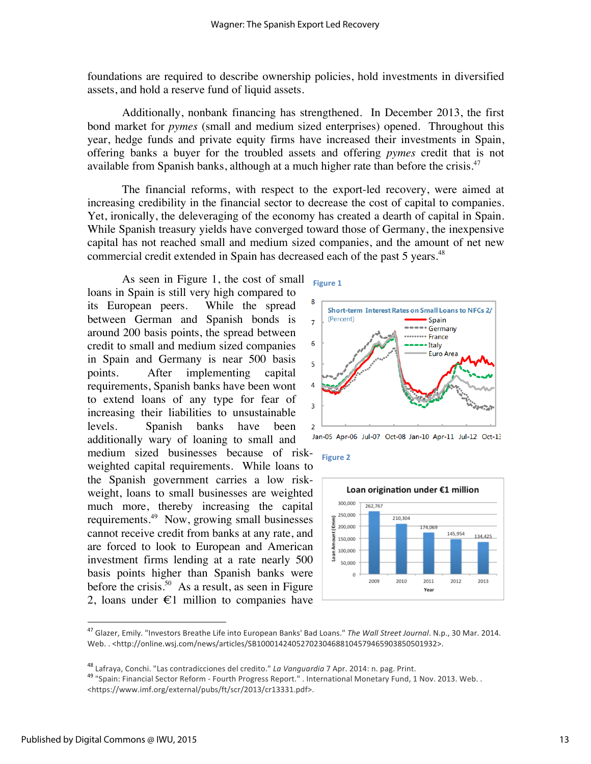foundations are required to describe ownership policies, hold investments in diversified assets, and hold a reserve fund of liquid assets.

Additionally, nonbank financing has strengthened. In December 2013, the first bond market for *pymes* (small and medium sized enterprises) opened. Throughout this year, hedge funds and private equity firms have increased their investments in Spain, offering banks a buyer for the troubled assets and offering *pymes* credit that is not available from Spanish banks, although at a much higher rate than before the crisis.<sup>47</sup>

The financial reforms, with respect to the export-led recovery, were aimed at increasing credibility in the financial sector to decrease the cost of capital to companies. Yet, ironically, the deleveraging of the economy has created a dearth of capital in Spain. While Spanish treasury yields have converged toward those of Germany, the inexpensive capital has not reached small and medium sized companies, and the amount of net new commercial credit extended in Spain has decreased each of the past 5 years.<sup>48</sup>

As seen in Figure 1, the cost of small loans in Spain is still very high compared to its European peers. While the spread between German and Spanish bonds is around 200 basis points, the spread between credit to small and medium sized companies in Spain and Germany is near 500 basis points. After implementing capital requirements, Spanish banks have been wont to extend loans of any type for fear of increasing their liabilities to unsustainable levels. Spanish banks have been additionally wary of loaning to small and

medium sized businesses because of riskweighted capital requirements. While loans to the Spanish government carries a low riskweight, loans to small businesses are weighted much more, thereby increasing the capital requirements. 49 Now, growing small businesses cannot receive credit from banks at any rate, and are forced to look to European and American investment firms lending at a rate nearly 500 basis points higher than Spanish banks were before the crisis.<sup>50</sup> As a result, as seen in Figure 2, loans under  $\epsilon$ 1 million to companies have











<sup>&</sup>lt;sup>47</sup> Glazer, Emily. "Investors Breathe Life into European Banks' Bad Loans." The Wall Street Journal. N.p., 30 Mar. 2014. Web..<http://online.wsj.com/news/articles/SB10001424052702304688104579465903850501932>.

<sup>&</sup>lt;sup>48</sup> Lafraya, Conchi. "Las contradicciones del credito." *La Vanguardia* 7 Apr. 2014: n. pag. Print.<br><sup>49</sup> "Spain: Financial Sector Reform - Fourth Progress Report." . International Monetary Fund, 1 Nov. 2013. Web. . <https://www.imf.org/external/pubs/ft/scr/2013/cr13331.pdf>.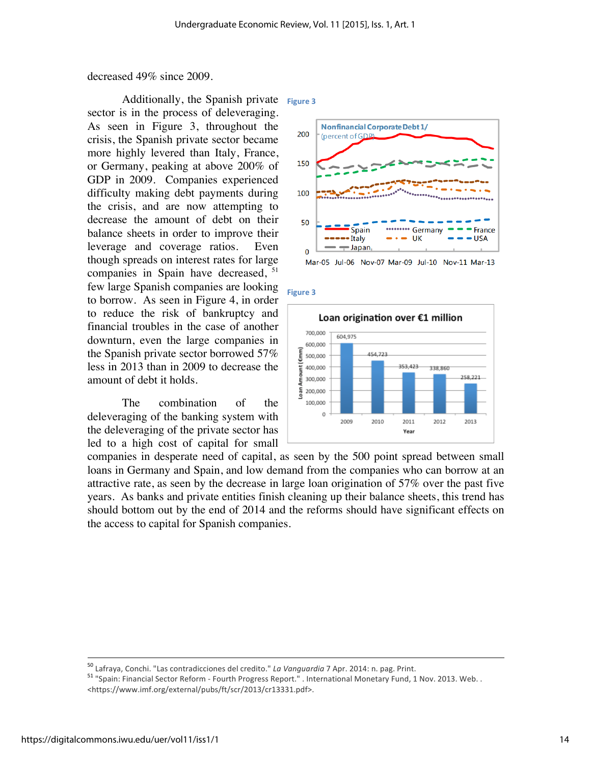decreased 49% since 2009.

Additionally, the Spanish private Figure 3 sector is in the process of deleveraging. As seen in Figure 3, throughout the crisis, the Spanish private sector became more highly levered than Italy, France, or Germany, peaking at above 200% of GDP in 2009. Companies experienced difficulty making debt payments during the crisis, and are now attempting to decrease the amount of debt on their balance sheets in order to improve their leverage and coverage ratios. Even though spreads on interest rates for large companies in Spain have decreased,  $51$ few large Spanish companies are looking to borrow. As seen in Figure 4, in order to reduce the risk of bankruptcy and financial troubles in the case of another downturn, even the large companies in the Spanish private sector borrowed 57% less in 2013 than in 2009 to decrease the amount of debt it holds.

The combination of the deleveraging of the banking system with the deleveraging of the private sector has led to a high cost of capital for small



Mar-05 Jul-06 Nov-07 Mar-09 Jul-10 Nov-11 Mar-13

**Figure'3**



companies in desperate need of capital, as seen by the 500 point spread between small loans in Germany and Spain, and low demand from the companies who can borrow at an attractive rate, as seen by the decrease in large loan origination of 57% over the past five years. As banks and private entities finish cleaning up their balance sheets, this trend has should bottom out by the end of 2014 and the reforms should have significant effects on the access to capital for Spanish companies.

<sup>&</sup>lt;sup>50</sup> Lafraya, Conchi. "Las contradicciones del credito." *La Vanguardia* 7 Apr. 2014: n. pag. Print.<br><sup>51</sup> "Spain: Financial Sector Reform - Fourth Progress Report." . International Monetary Fund, 1 Nov. 2013. Web. . <https://www.imf.org/external/pubs/ft/scr/2013/cr13331.pdf>.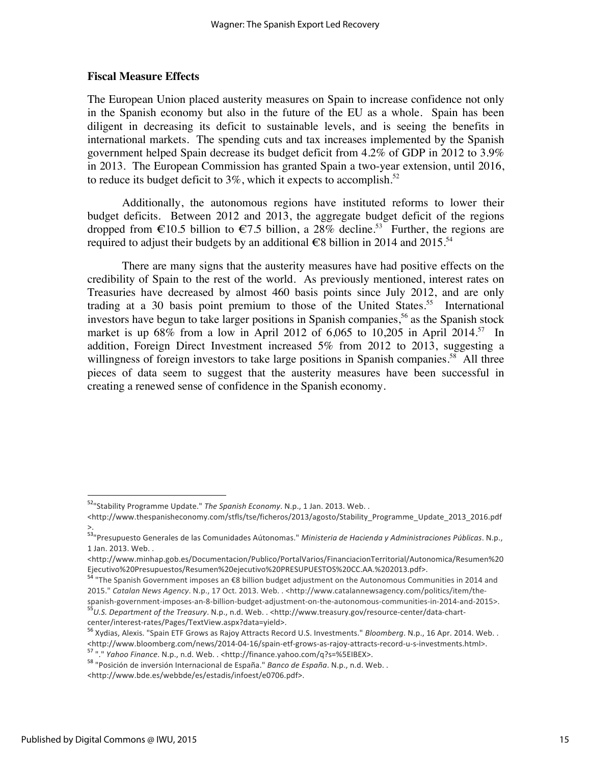#### **Fiscal Measure Effects**

The European Union placed austerity measures on Spain to increase confidence not only in the Spanish economy but also in the future of the EU as a whole. Spain has been diligent in decreasing its deficit to sustainable levels, and is seeing the benefits in international markets. The spending cuts and tax increases implemented by the Spanish government helped Spain decrease its budget deficit from 4.2% of GDP in 2012 to 3.9% in 2013. The European Commission has granted Spain a two-year extension, until 2016, to reduce its budget deficit to  $3\%$ , which it expects to accomplish.<sup>52</sup>

Additionally, the autonomous regions have instituted reforms to lower their budget deficits. Between 2012 and 2013, the aggregate budget deficit of the regions dropped from  $\epsilon$ 10.5 billion to  $\epsilon$ 7.5 billion, a 28% decline.<sup>53</sup> Further, the regions are required to adjust their budgets by an additional  $\epsilon$ 8 billion in 2014 and 2015.<sup>54</sup>

There are many signs that the austerity measures have had positive effects on the credibility of Spain to the rest of the world. As previously mentioned, interest rates on Treasuries have decreased by almost 460 basis points since July 2012, and are only trading at a 30 basis point premium to those of the United States.<sup>55</sup> International investors have begun to take larger positions in Spanish companies,<sup>56</sup> as the Spanish stock market is up  $68\%$  from a low in April 2012 of 6,065 to 10,205 in April 2014.<sup>57</sup> In addition, Foreign Direct Investment increased 5% from 2012 to 2013, suggesting a willingness of foreign investors to take large positions in Spanish companies.<sup>58</sup> All three pieces of data seem to suggest that the austerity measures have been successful in creating a renewed sense of confidence in the Spanish economy.

<sup>&</sup>lt;sup>52</sup>" Stability Programme Update." The Spanish Economy. N.p., 1 Jan. 2013. Web. .

<sup>&</sup>lt;http://www.thespanisheconomy.com/stfls/tse/ficheros/2013/agosto/Stability\_Programme\_Update\_2013\_2016.pdf >.

<sup>&</sup>lt;sup>53</sup>"Presupuesto Generales de las Comunidades Aútonomas." *Ministeria de Hacienda y Administraciones Públicas*. N.p., 1 Jan. 2013. Web...

<sup>&</sup>lt;http://www.minhap.gob.es/Documentacion/Publico/PortalVarios/FinanciacionTerritorial/Autonomica/Resumen%20 Ejecutivo%20Presupuestos/Resumen%20ejecutivo%20PRESUPUESTOS%20CC.AA.%202013.pdf>.

<sup>&</sup>lt;sup>54</sup> "The Spanish Government imposes an €8 billion budget adjustment on the Autonomous Communities in 2014 and 2015." Catalan News Agency. N.p., 17 Oct. 2013. Web. . <http://www.catalannewsagency.com/politics/item/the-

spanish-government-imposes-an-8-billion-budget-adjustment-on-the-autonomous-communities-in-2014-and-2015>. 55<br>55 U.S. Department of the Treasury. N.p., n.d. Web. . <http://www.treasury.gov/resource-center/data-chart-center

<sup>&</sup>lt;sup>56</sup> Xydias, Alexis. "Spain ETF Grows as Rajoy Attracts Record U.S. Investments." *Bloomberg*. N.p., 16 Apr. 2014. Web. . <http://www.bloomberg.com/news/2014-04-16/spain-etf-grows-as-rajoy-attracts-record-u-s-investments.html>.<br>
<sup>57</sup> "." *Yahoo Finance*. N.p., n.d. Web. . <http://finance.yahoo.com/q?s=%5EIBEX>.<br>
<sup>58</sup> "Posición de inversión In

<sup>&</sup>lt;http://www.bde.es/webbde/es/estadis/infoest/e0706.pdf>.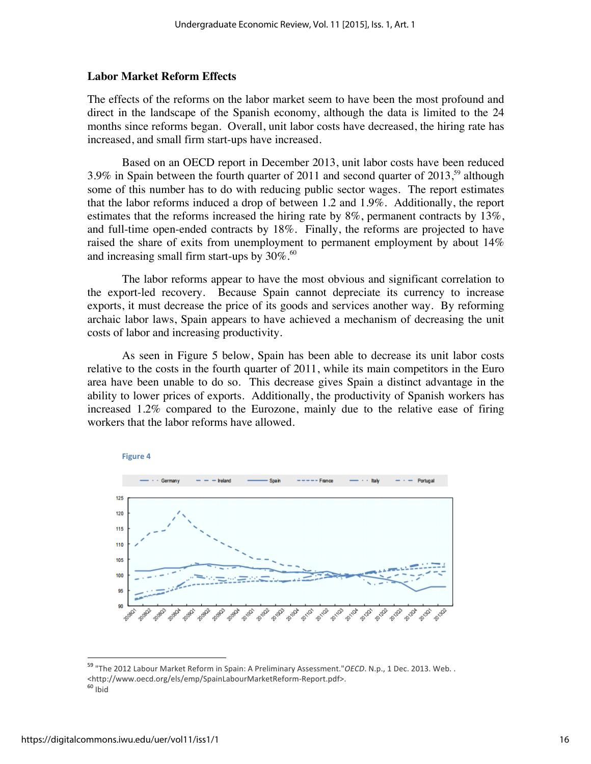#### **Labor Market Reform Effects**

The effects of the reforms on the labor market seem to have been the most profound and direct in the landscape of the Spanish economy, although the data is limited to the 24 months since reforms began. Overall, unit labor costs have decreased, the hiring rate has increased, and small firm start-ups have increased.

Based on an OECD report in December 2013, unit labor costs have been reduced  $3.9\%$  in Spain between the fourth quarter of 2011 and second quarter of 2013,<sup>59</sup> although some of this number has to do with reducing public sector wages. The report estimates that the labor reforms induced a drop of between 1.2 and 1.9%. Additionally, the report estimates that the reforms increased the hiring rate by  $8\%$ , permanent contracts by  $13\%$ , and full-time open-ended contracts by 18%. Finally, the reforms are projected to have raised the share of exits from unemployment to permanent employment by about 14% and increasing small firm start-ups by  $30\%$ .<sup>60</sup>

The labor reforms appear to have the most obvious and significant correlation to the export-led recovery. Because Spain cannot depreciate its currency to increase exports, it must decrease the price of its goods and services another way. By reforming archaic labor laws, Spain appears to have achieved a mechanism of decreasing the unit costs of labor and increasing productivity.

As seen in Figure 5 below, Spain has been able to decrease its unit labor costs relative to the costs in the fourth quarter of 2011, while its main competitors in the Euro area have been unable to do so. This decrease gives Spain a distinct advantage in the ability to lower prices of exports. Additionally, the productivity of Spanish workers has increased 1.2% compared to the Eurozone, mainly due to the relative ease of firing workers that the labor reforms have allowed.



<sup>&</sup>lt;sup>59</sup> "The 2012 Labour Market Reform in Spain: A Preliminary Assessment."OECD. N.p., 1 Dec. 2013. Web. .  $\leq$ http://www.oecd.org/els/emp/SpainLabourMarketReform-Report.pdf>. 60 Ibid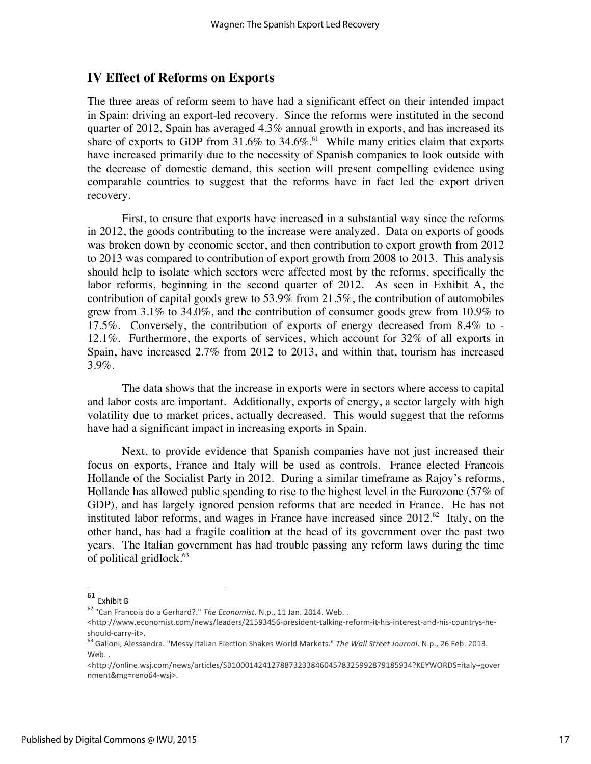## **IV Effect of Reforms on Exports**

The three areas of reform seem to have had a significant effect on their intended impact in Spain: driving an export-led recovery. Since the reforms were instituted in the second quarter of 2012, Spain has averaged 4.3% annual growth in exports, and has increased its share of exports to GDP from  $31.6\%$  to  $34.6\%$ .<sup>61</sup> While many critics claim that exports have increased primarily due to the necessity of Spanish companies to look outside with the decrease of domestic demand, this section will present compelling evidence using comparable countries to suggest that the reforms have in fact led the export driven recovery.

First, to ensure that exports have increased in a substantial way since the reforms in 2012, the goods contributing to the increase were analyzed. Data on exports of goods was broken down by economic sector, and then contribution to export growth from 2012 to 2013 was compared to contribution of export growth from 2008 to 2013. This analysis should help to isolate which sectors were affected most by the reforms, specifically the labor reforms, beginning in the second quarter of 2012. As seen in Exhibit A, the contribution of capital goods grew to 53.9% from 21.5%, the contribution of automobiles grew from 3.1% to 34.0%, and the contribution of consumer goods grew from 10.9% to 17.5%. Conversely, the contribution of exports of energy decreased from 8.4% to - 12.1%. Furthermore, the exports of services, which account for 32% of all exports in Spain, have increased 2.7% from 2012 to 2013, and within that, tourism has increased 3.9%.

The data shows that the increase in exports were in sectors where access to capital and labor costs are important. Additionally, exports of energy, a sector largely with high volatility due to market prices, actually decreased. This would suggest that the reforms have had a significant impact in increasing exports in Spain.

Next, to provide evidence that Spanish companies have not just increased their focus on exports, France and Italy will be used as controls. France elected Francois Hollande of the Socialist Party in 2012. During a similar timeframe as Rajoy's reforms, Hollande has allowed public spending to rise to the highest level in the Eurozone (57% of GDP), and has largely ignored pension reforms that are needed in France. He has not instituted labor reforms, and wages in France have increased since  $2012.^{62}$  Italy, on the other hand, has had a fragile coalition at the head of its government over the past two years. The Italian government has had trouble passing any reform laws during the time of political gridlock.<sup>63</sup>

!!!!!!!!!!!!!!!!!!!!!!!!!!!!!!!!!!!!!!!!!!!!!!!!!!!!!!

 $61$  Fxhibit B

<sup>&</sup>lt;sup>62</sup> "Can Francois do a Gerhard?." *The Economist*. N.p., 11 Jan. 2014. Web..

<sup>&</sup>lt;http://www.economist.com/news/leaders/21593456-president-talking-reform-it-his-interest-and-his-countrys-he-

should-carry-it>.<br><sup>63</sup> Galloni, Alessandra. "Messy Italian Election Shakes World Markets." *The Wall Street Journal*. N.p., 26 Feb. 2013. Web..

<sup>&</sup>lt;http://online.wsj.com/news/articles/SB10001424127887323384604578325992879185934?KEYWORDS=italy+gover nment&mg=reno64-wsj>.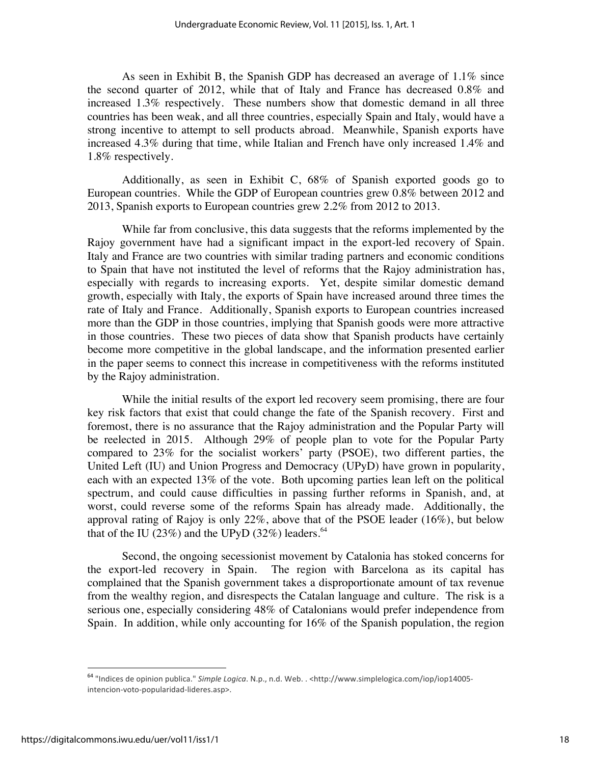As seen in Exhibit B, the Spanish GDP has decreased an average of 1.1% since the second quarter of 2012, while that of Italy and France has decreased 0.8% and increased 1.3% respectively. These numbers show that domestic demand in all three countries has been weak, and all three countries, especially Spain and Italy, would have a strong incentive to attempt to sell products abroad. Meanwhile, Spanish exports have increased 4.3% during that time, while Italian and French have only increased 1.4% and 1.8% respectively.

Additionally, as seen in Exhibit C, 68% of Spanish exported goods go to European countries. While the GDP of European countries grew 0.8% between 2012 and 2013, Spanish exports to European countries grew 2.2% from 2012 to 2013.

While far from conclusive, this data suggests that the reforms implemented by the Rajoy government have had a significant impact in the export-led recovery of Spain. Italy and France are two countries with similar trading partners and economic conditions to Spain that have not instituted the level of reforms that the Rajoy administration has, especially with regards to increasing exports. Yet, despite similar domestic demand growth, especially with Italy, the exports of Spain have increased around three times the rate of Italy and France. Additionally, Spanish exports to European countries increased more than the GDP in those countries, implying that Spanish goods were more attractive in those countries. These two pieces of data show that Spanish products have certainly become more competitive in the global landscape, and the information presented earlier in the paper seems to connect this increase in competitiveness with the reforms instituted by the Rajoy administration.

While the initial results of the export led recovery seem promising, there are four key risk factors that exist that could change the fate of the Spanish recovery. First and foremost, there is no assurance that the Rajoy administration and the Popular Party will be reelected in 2015. Although 29% of people plan to vote for the Popular Party compared to 23% for the socialist workers' party (PSOE), two different parties, the United Left (IU) and Union Progress and Democracy (UPyD) have grown in popularity, each with an expected 13% of the vote. Both upcoming parties lean left on the political spectrum, and could cause difficulties in passing further reforms in Spanish, and, at worst, could reverse some of the reforms Spain has already made. Additionally, the approval rating of Rajoy is only 22%, above that of the PSOE leader (16%), but below that of the IU (23%) and the UPyD (32%) leaders.<sup>64</sup>

Second, the ongoing secessionist movement by Catalonia has stoked concerns for the export-led recovery in Spain. The region with Barcelona as its capital has complained that the Spanish government takes a disproportionate amount of tax revenue from the wealthy region, and disrespects the Catalan language and culture. The risk is a serious one, especially considering 48% of Catalonians would prefer independence from Spain. In addition, while only accounting for 16% of the Spanish population, the region

<sup>&</sup>lt;sup>64</sup> "Indices de opinion publica." *Simple Logica*. N.p., n.d. Web. . <http://www.simplelogica.com/iop/iop14005intencion-voto-popularidad-lideres.asp>.